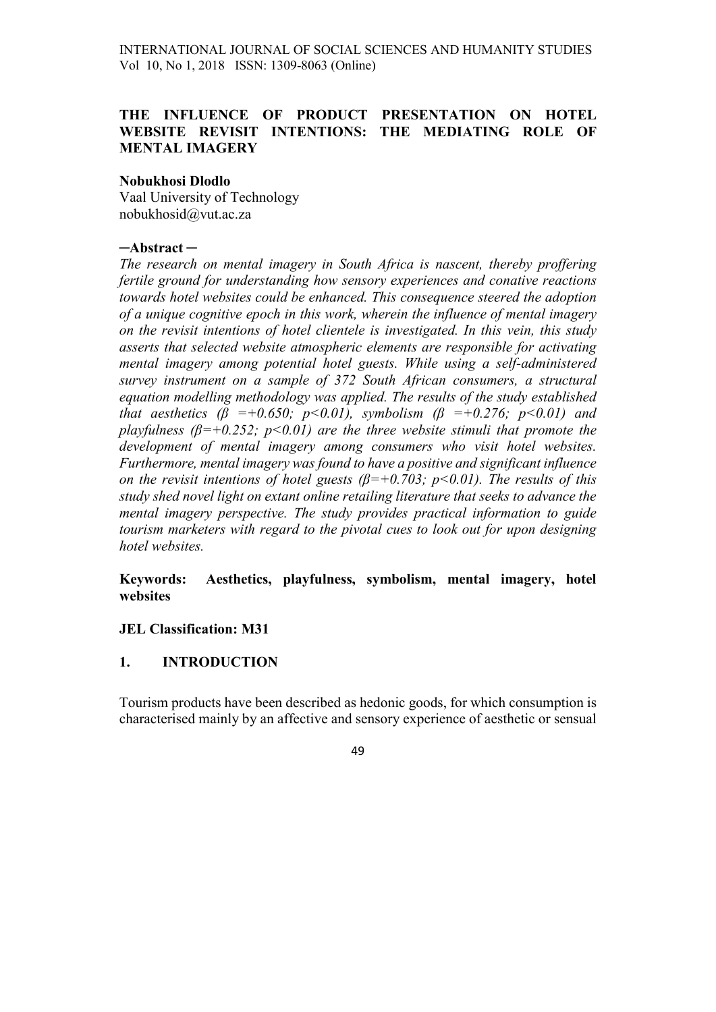## THE INFLUENCE OF PRODUCT PRESENTATION ON HOTEL WEBSITE REVISIT INTENTIONS: THE MEDIATING ROLE OF MENTAL IMAGERY

#### Nobukhosi Dlodlo

Vaal University of Technology nobukhosid@vut.ac.za

#### ─Abstract ─

The research on mental imagery in South Africa is nascent, thereby proffering fertile ground for understanding how sensory experiences and conative reactions towards hotel websites could be enhanced. This consequence steered the adoption of a unique cognitive epoch in this work, wherein the influence of mental imagery on the revisit intentions of hotel clientele is investigated. In this vein, this study asserts that selected website atmospheric elements are responsible for activating mental imagery among potential hotel guests. While using a self-administered survey instrument on a sample of 372 South African consumers, a structural equation modelling methodology was applied. The results of the study established that aesthetics ( $\beta$  =+0.650; p<0.01), symbolism ( $\beta$  =+0.276; p<0.01) and playfulness ( $\beta$ =+0.252; p<0.01) are the three website stimuli that promote the development of mental imagery among consumers who visit hotel websites. Furthermore, mental imagery was found to have a positive and significant influence on the revisit intentions of hotel guests  $(\beta=+0.703; p<0.01)$ . The results of this study shed novel light on extant online retailing literature that seeks to advance the mental imagery perspective. The study provides practical information to guide tourism marketers with regard to the pivotal cues to look out for upon designing hotel websites.

Keywords: Aesthetics, playfulness, symbolism, mental imagery, hotel websites

#### JEL Classification: M31

#### 1. INTRODUCTION

Tourism products have been described as hedonic goods, for which consumption is characterised mainly by an affective and sensory experience of aesthetic or sensual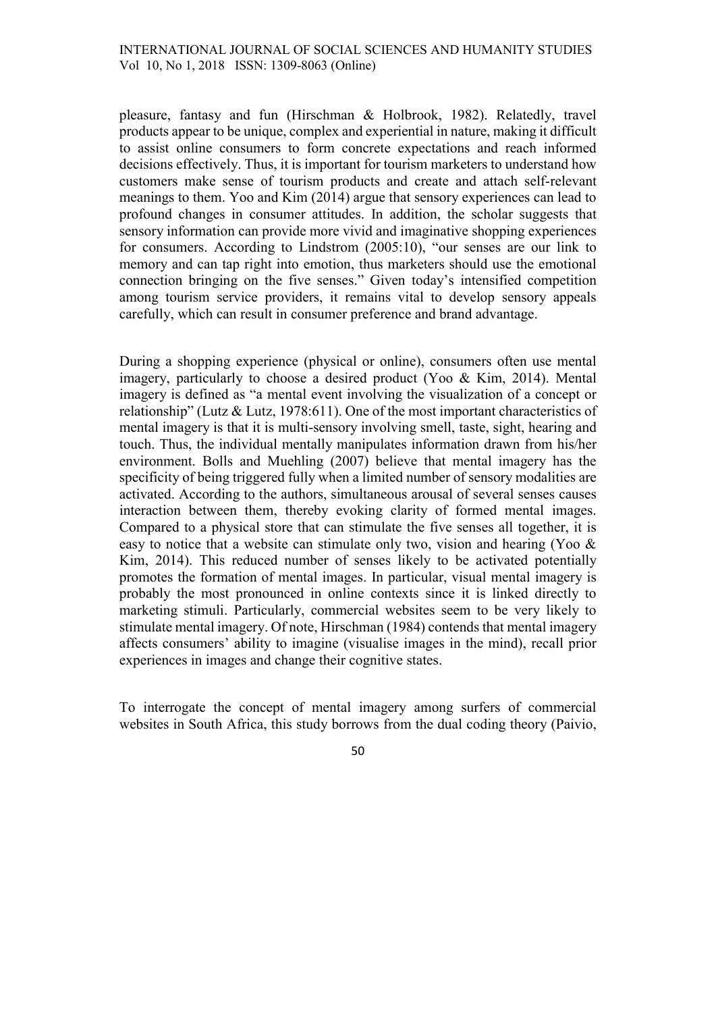pleasure, fantasy and fun (Hirschman & Holbrook, 1982). Relatedly, travel products appear to be unique, complex and experiential in nature, making it difficult to assist online consumers to form concrete expectations and reach informed decisions effectively. Thus, it is important for tourism marketers to understand how customers make sense of tourism products and create and attach self-relevant meanings to them. Yoo and Kim (2014) argue that sensory experiences can lead to profound changes in consumer attitudes. In addition, the scholar suggests that sensory information can provide more vivid and imaginative shopping experiences for consumers. According to Lindstrom (2005:10), "our senses are our link to memory and can tap right into emotion, thus marketers should use the emotional connection bringing on the five senses." Given today's intensified competition among tourism service providers, it remains vital to develop sensory appeals carefully, which can result in consumer preference and brand advantage.

During a shopping experience (physical or online), consumers often use mental imagery, particularly to choose a desired product (Yoo & Kim, 2014). Mental imagery is defined as "a mental event involving the visualization of a concept or relationship" (Lutz & Lutz, 1978:611). One of the most important characteristics of mental imagery is that it is multi-sensory involving smell, taste, sight, hearing and touch. Thus, the individual mentally manipulates information drawn from his/her environment. Bolls and Muehling (2007) believe that mental imagery has the specificity of being triggered fully when a limited number of sensory modalities are activated. According to the authors, simultaneous arousal of several senses causes interaction between them, thereby evoking clarity of formed mental images. Compared to a physical store that can stimulate the five senses all together, it is easy to notice that a website can stimulate only two, vision and hearing (Yoo & Kim, 2014). This reduced number of senses likely to be activated potentially promotes the formation of mental images. In particular, visual mental imagery is probably the most pronounced in online contexts since it is linked directly to marketing stimuli. Particularly, commercial websites seem to be very likely to stimulate mental imagery. Of note, Hirschman (1984) contends that mental imagery affects consumers' ability to imagine (visualise images in the mind), recall prior experiences in images and change their cognitive states.

To interrogate the concept of mental imagery among surfers of commercial websites in South Africa, this study borrows from the dual coding theory (Paivio,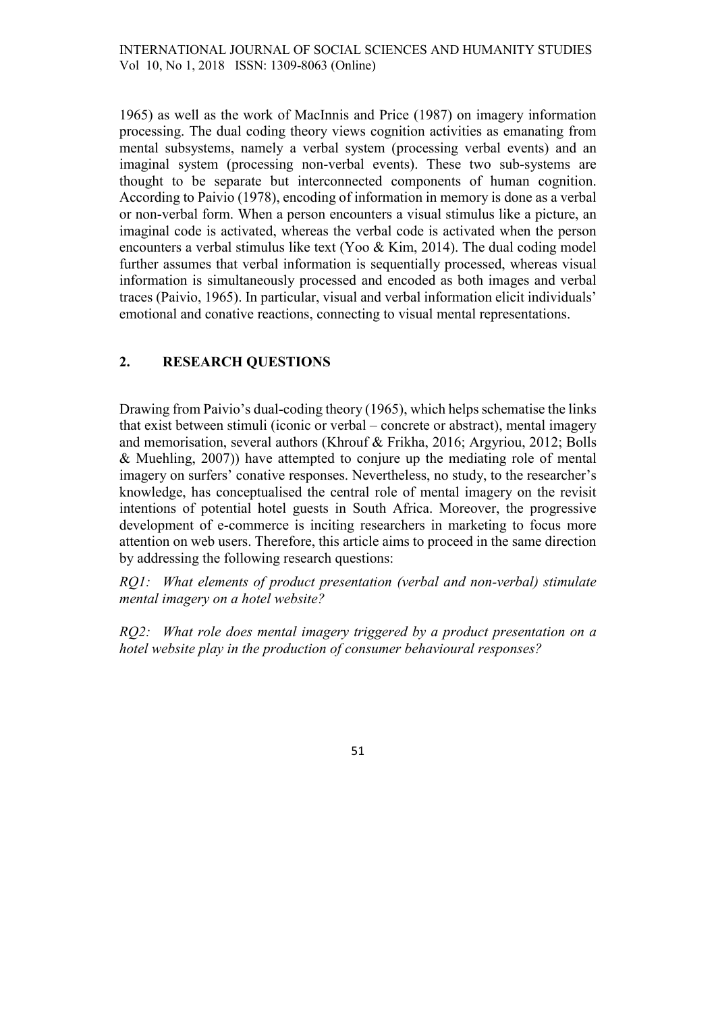1965) as well as the work of MacInnis and Price (1987) on imagery information processing. The dual coding theory views cognition activities as emanating from mental subsystems, namely a verbal system (processing verbal events) and an imaginal system (processing non-verbal events). These two sub-systems are thought to be separate but interconnected components of human cognition. According to Paivio (1978), encoding of information in memory is done as a verbal or non-verbal form. When a person encounters a visual stimulus like a picture, an imaginal code is activated, whereas the verbal code is activated when the person encounters a verbal stimulus like text (Yoo & Kim, 2014). The dual coding model further assumes that verbal information is sequentially processed, whereas visual information is simultaneously processed and encoded as both images and verbal traces (Paivio, 1965). In particular, visual and verbal information elicit individuals' emotional and conative reactions, connecting to visual mental representations.

## 2. RESEARCH QUESTIONS

Drawing from Paivio's dual-coding theory (1965), which helps schematise the links that exist between stimuli (iconic or verbal – concrete or abstract), mental imagery and memorisation, several authors (Khrouf & Frikha, 2016; Argyriou, 2012; Bolls & Muehling, 2007)) have attempted to conjure up the mediating role of mental imagery on surfers' conative responses. Nevertheless, no study, to the researcher's knowledge, has conceptualised the central role of mental imagery on the revisit intentions of potential hotel guests in South Africa. Moreover, the progressive development of e-commerce is inciting researchers in marketing to focus more attention on web users. Therefore, this article aims to proceed in the same direction by addressing the following research questions:

RQ1: What elements of product presentation (verbal and non-verbal) stimulate mental imagery on a hotel website?

RQ2: What role does mental imagery triggered by a product presentation on a hotel website play in the production of consumer behavioural responses?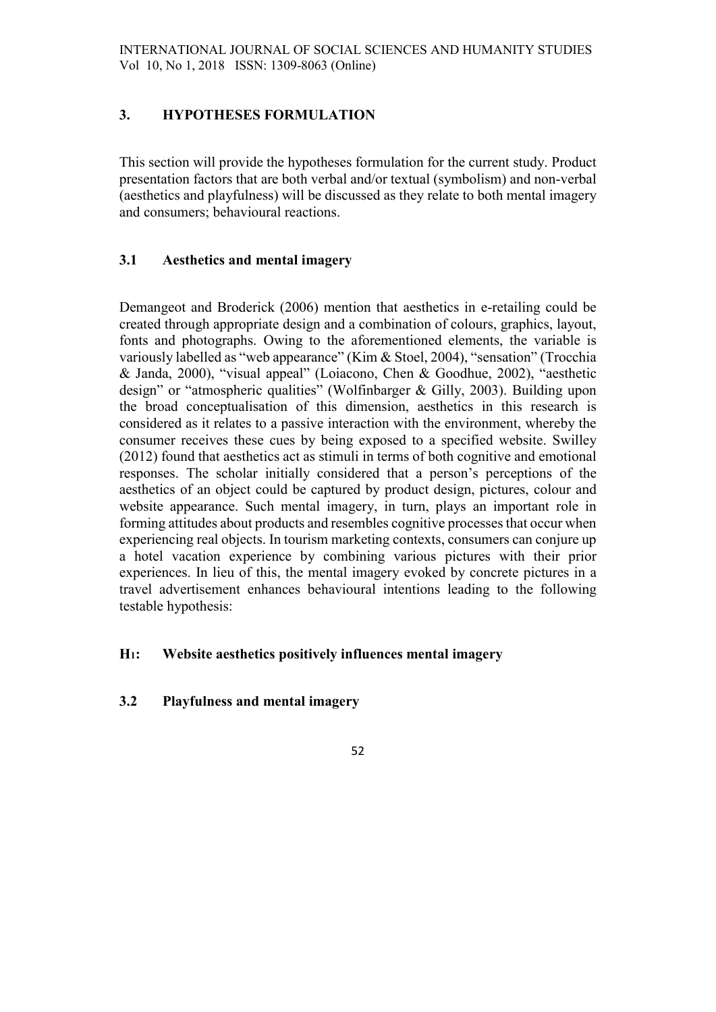# 3. HYPOTHESES FORMULATION

This section will provide the hypotheses formulation for the current study. Product presentation factors that are both verbal and/or textual (symbolism) and non-verbal (aesthetics and playfulness) will be discussed as they relate to both mental imagery and consumers; behavioural reactions.

## 3.1 Aesthetics and mental imagery

Demangeot and Broderick (2006) mention that aesthetics in e-retailing could be created through appropriate design and a combination of colours, graphics, layout, fonts and photographs. Owing to the aforementioned elements, the variable is variously labelled as "web appearance" (Kim & Stoel, 2004), "sensation" (Trocchia & Janda, 2000), "visual appeal" (Loiacono, Chen & Goodhue, 2002), "aesthetic design" or "atmospheric qualities" (Wolfinbarger & Gilly, 2003). Building upon the broad conceptualisation of this dimension, aesthetics in this research is considered as it relates to a passive interaction with the environment, whereby the consumer receives these cues by being exposed to a specified website. Swilley (2012) found that aesthetics act as stimuli in terms of both cognitive and emotional responses. The scholar initially considered that a person's perceptions of the aesthetics of an object could be captured by product design, pictures, colour and website appearance. Such mental imagery, in turn, plays an important role in forming attitudes about products and resembles cognitive processes that occur when experiencing real objects. In tourism marketing contexts, consumers can conjure up a hotel vacation experience by combining various pictures with their prior experiences. In lieu of this, the mental imagery evoked by concrete pictures in a travel advertisement enhances behavioural intentions leading to the following testable hypothesis:

### H1: Website aesthetics positively influences mental imagery

### 3.2 Playfulness and mental imagery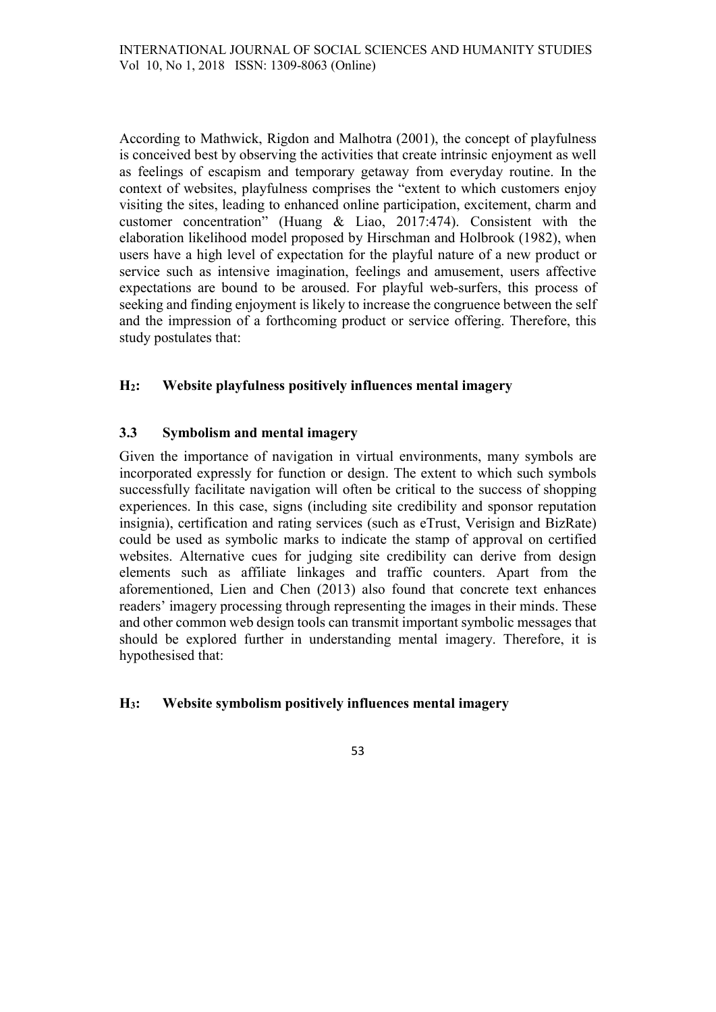According to Mathwick, Rigdon and Malhotra (2001), the concept of playfulness is conceived best by observing the activities that create intrinsic enjoyment as well as feelings of escapism and temporary getaway from everyday routine. In the context of websites, playfulness comprises the "extent to which customers enjoy visiting the sites, leading to enhanced online participation, excitement, charm and customer concentration" (Huang & Liao, 2017:474). Consistent with the elaboration likelihood model proposed by Hirschman and Holbrook (1982), when users have a high level of expectation for the playful nature of a new product or service such as intensive imagination, feelings and amusement, users affective expectations are bound to be aroused. For playful web-surfers, this process of seeking and finding enjoyment is likely to increase the congruence between the self and the impression of a forthcoming product or service offering. Therefore, this study postulates that:

## H2: Website playfulness positively influences mental imagery

## 3.3 Symbolism and mental imagery

Given the importance of navigation in virtual environments, many symbols are incorporated expressly for function or design. The extent to which such symbols successfully facilitate navigation will often be critical to the success of shopping experiences. In this case, signs (including site credibility and sponsor reputation insignia), certification and rating services (such as eTrust, Verisign and BizRate) could be used as symbolic marks to indicate the stamp of approval on certified websites. Alternative cues for judging site credibility can derive from design elements such as affiliate linkages and traffic counters. Apart from the aforementioned, Lien and Chen (2013) also found that concrete text enhances readers' imagery processing through representing the images in their minds. These and other common web design tools can transmit important symbolic messages that should be explored further in understanding mental imagery. Therefore, it is hypothesised that:

### H3: Website symbolism positively influences mental imagery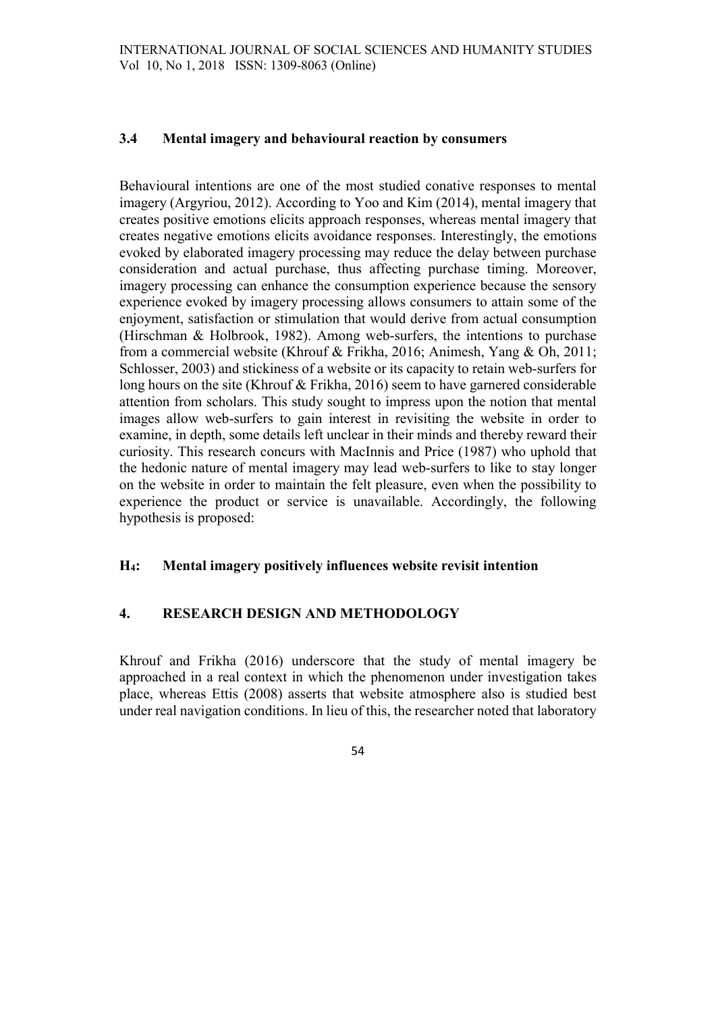## 3.4 Mental imagery and behavioural reaction by consumers

Behavioural intentions are one of the most studied conative responses to mental imagery (Argyriou, 2012). According to Yoo and Kim (2014), mental imagery that creates positive emotions elicits approach responses, whereas mental imagery that creates negative emotions elicits avoidance responses. Interestingly, the emotions evoked by elaborated imagery processing may reduce the delay between purchase consideration and actual purchase, thus affecting purchase timing. Moreover, imagery processing can enhance the consumption experience because the sensory experience evoked by imagery processing allows consumers to attain some of the enjoyment, satisfaction or stimulation that would derive from actual consumption (Hirschman & Holbrook, 1982). Among web-surfers, the intentions to purchase from a commercial website (Khrouf & Frikha, 2016; Animesh, Yang & Oh, 2011; Schlosser, 2003) and stickiness of a website or its capacity to retain web-surfers for long hours on the site (Khrouf & Frikha, 2016) seem to have garnered considerable attention from scholars. This study sought to impress upon the notion that mental images allow web-surfers to gain interest in revisiting the website in order to examine, in depth, some details left unclear in their minds and thereby reward their curiosity. This research concurs with MacInnis and Price (1987) who uphold that the hedonic nature of mental imagery may lead web-surfers to like to stay longer on the website in order to maintain the felt pleasure, even when the possibility to experience the product or service is unavailable. Accordingly, the following hypothesis is proposed:

### H4: Mental imagery positively influences website revisit intention

### 4. RESEARCH DESIGN AND METHODOLOGY

Khrouf and Frikha (2016) underscore that the study of mental imagery be approached in a real context in which the phenomenon under investigation takes place, whereas Ettis (2008) asserts that website atmosphere also is studied best under real navigation conditions. In lieu of this, the researcher noted that laboratory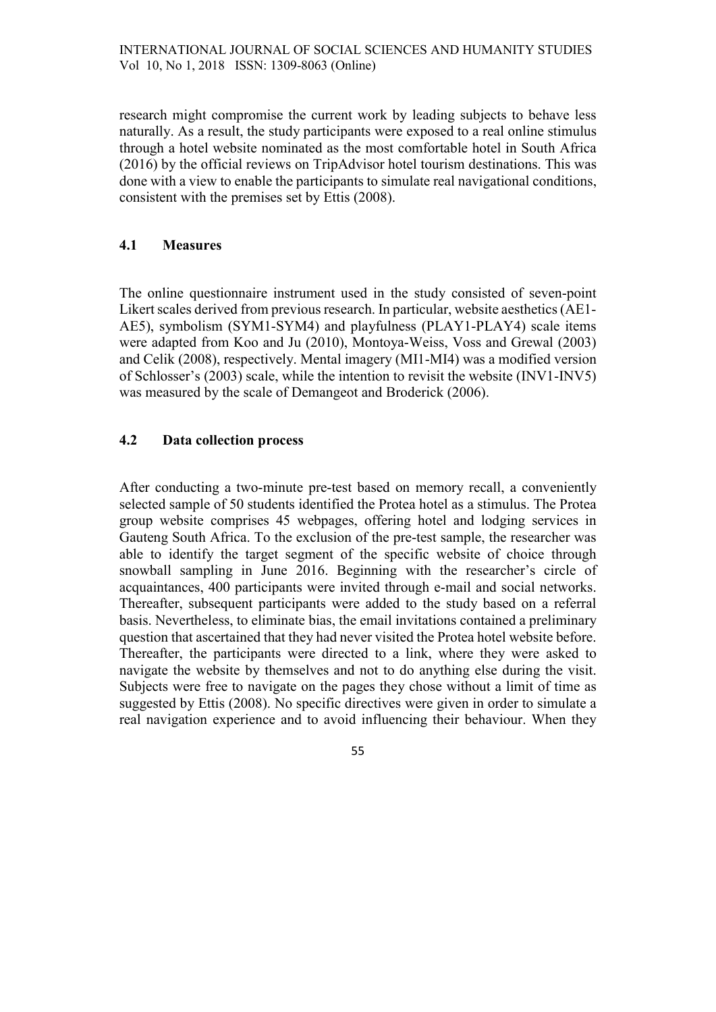research might compromise the current work by leading subjects to behave less naturally. As a result, the study participants were exposed to a real online stimulus through a hotel website nominated as the most comfortable hotel in South Africa (2016) by the official reviews on TripAdvisor hotel tourism destinations. This was done with a view to enable the participants to simulate real navigational conditions, consistent with the premises set by Ettis (2008).

### 4.1 Measures

The online questionnaire instrument used in the study consisted of seven-point Likert scales derived from previous research. In particular, website aesthetics (AE1-AE5), symbolism (SYM1-SYM4) and playfulness (PLAY1-PLAY4) scale items were adapted from Koo and Ju (2010), Montoya-Weiss, Voss and Grewal (2003) and Celik (2008), respectively. Mental imagery (MI1-MI4) was a modified version of Schlosser's (2003) scale, while the intention to revisit the website (INV1-INV5) was measured by the scale of Demangeot and Broderick (2006).

## 4.2 Data collection process

After conducting a two-minute pre-test based on memory recall, a conveniently selected sample of 50 students identified the Protea hotel as a stimulus. The Protea group website comprises 45 webpages, offering hotel and lodging services in Gauteng South Africa. To the exclusion of the pre-test sample, the researcher was able to identify the target segment of the specific website of choice through snowball sampling in June 2016. Beginning with the researcher's circle of acquaintances, 400 participants were invited through e-mail and social networks. Thereafter, subsequent participants were added to the study based on a referral basis. Nevertheless, to eliminate bias, the email invitations contained a preliminary question that ascertained that they had never visited the Protea hotel website before. Thereafter, the participants were directed to a link, where they were asked to navigate the website by themselves and not to do anything else during the visit. Subjects were free to navigate on the pages they chose without a limit of time as suggested by Ettis (2008). No specific directives were given in order to simulate a real navigation experience and to avoid influencing their behaviour. When they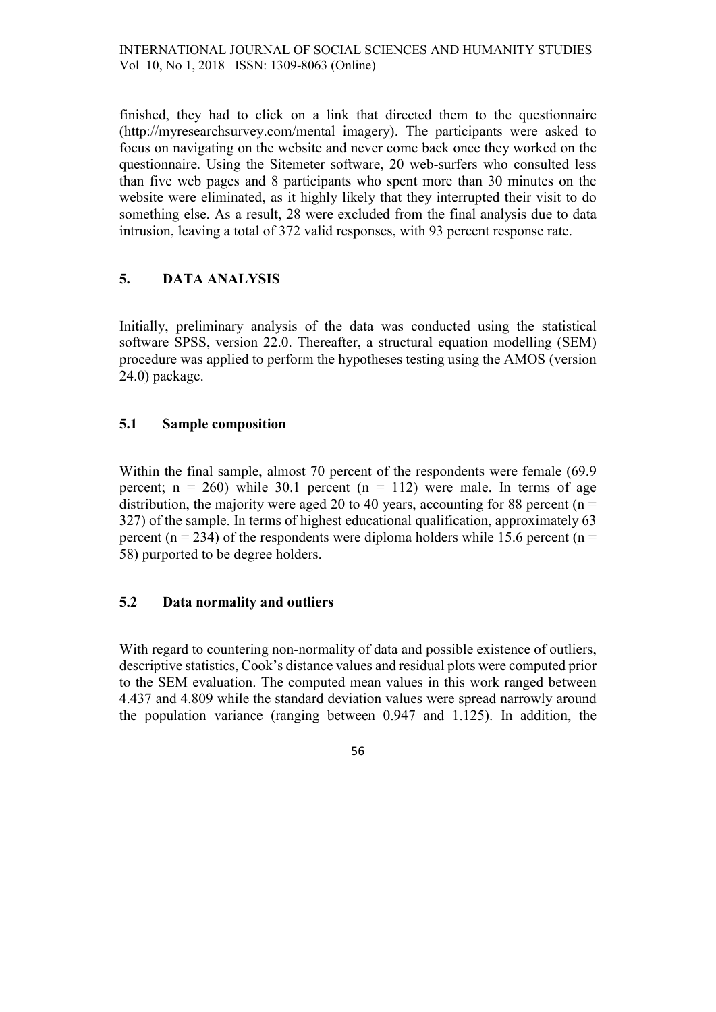finished, they had to click on a link that directed them to the questionnaire (http://myresearchsurvey.com/mental imagery). The participants were asked to focus on navigating on the website and never come back once they worked on the questionnaire. Using the Sitemeter software, 20 web-surfers who consulted less than five web pages and 8 participants who spent more than 30 minutes on the website were eliminated, as it highly likely that they interrupted their visit to do something else. As a result, 28 were excluded from the final analysis due to data intrusion, leaving a total of 372 valid responses, with 93 percent response rate.

# 5. DATA ANALYSIS

Initially, preliminary analysis of the data was conducted using the statistical software SPSS, version 22.0. Thereafter, a structural equation modelling (SEM) procedure was applied to perform the hypotheses testing using the AMOS (version 24.0) package.

## 5.1 Sample composition

Within the final sample, almost 70 percent of the respondents were female (69.9 percent;  $n = 260$ ) while 30.1 percent  $(n = 112)$  were male. In terms of age distribution, the majority were aged 20 to 40 years, accounting for 88 percent ( $n =$ 327) of the sample. In terms of highest educational qualification, approximately 63 percent ( $n = 234$ ) of the respondents were diploma holders while 15.6 percent ( $n =$ 58) purported to be degree holders.

### 5.2 Data normality and outliers

With regard to countering non-normality of data and possible existence of outliers, descriptive statistics, Cook's distance values and residual plots were computed prior to the SEM evaluation. The computed mean values in this work ranged between 4.437 and 4.809 while the standard deviation values were spread narrowly around the population variance (ranging between 0.947 and 1.125). In addition, the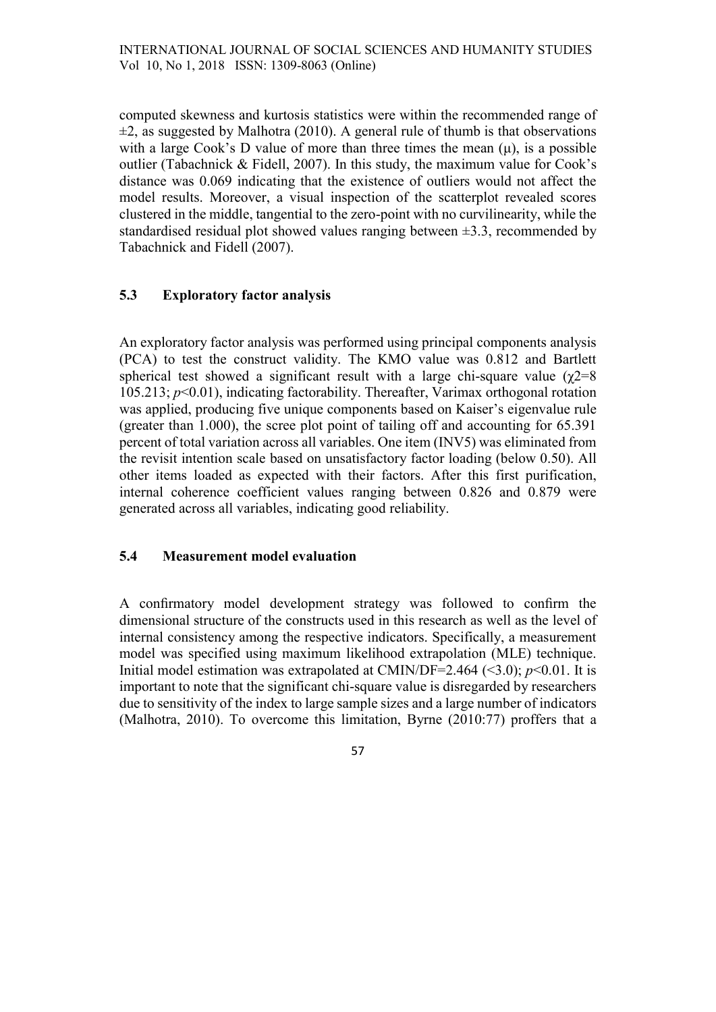computed skewness and kurtosis statistics were within the recommended range of  $\pm 2$ , as suggested by Malhotra (2010). A general rule of thumb is that observations with a large Cook's D value of more than three times the mean  $(\mu)$ , is a possible outlier (Tabachnick & Fidell, 2007). In this study, the maximum value for Cook's distance was 0.069 indicating that the existence of outliers would not affect the model results. Moreover, a visual inspection of the scatterplot revealed scores clustered in the middle, tangential to the zero-point with no curvilinearity, while the standardised residual plot showed values ranging between  $\pm 3.3$ , recommended by Tabachnick and Fidell (2007).

# 5.3 Exploratory factor analysis

An exploratory factor analysis was performed using principal components analysis (PCA) to test the construct validity. The KMO value was 0.812 and Bartlett spherical test showed a significant result with a large chi-square value  $(\gamma2=8)$ 105.213;  $p<0.01$ ), indicating factorability. Thereafter, Varimax orthogonal rotation was applied, producing five unique components based on Kaiser's eigenvalue rule (greater than 1.000), the scree plot point of tailing off and accounting for 65.391 percent of total variation across all variables. One item (INV5) was eliminated from the revisit intention scale based on unsatisfactory factor loading (below 0.50). All other items loaded as expected with their factors. After this first purification, internal coherence coefficient values ranging between 0.826 and 0.879 were generated across all variables, indicating good reliability.

### 5.4 Measurement model evaluation

A confirmatory model development strategy was followed to confirm the dimensional structure of the constructs used in this research as well as the level of internal consistency among the respective indicators. Specifically, a measurement model was specified using maximum likelihood extrapolation (MLE) technique. Initial model estimation was extrapolated at CMIN/DF=2.464 (<3.0);  $p<0.01$ . It is important to note that the significant chi-square value is disregarded by researchers due to sensitivity of the index to large sample sizes and a large number of indicators (Malhotra, 2010). To overcome this limitation, Byrne (2010:77) proffers that a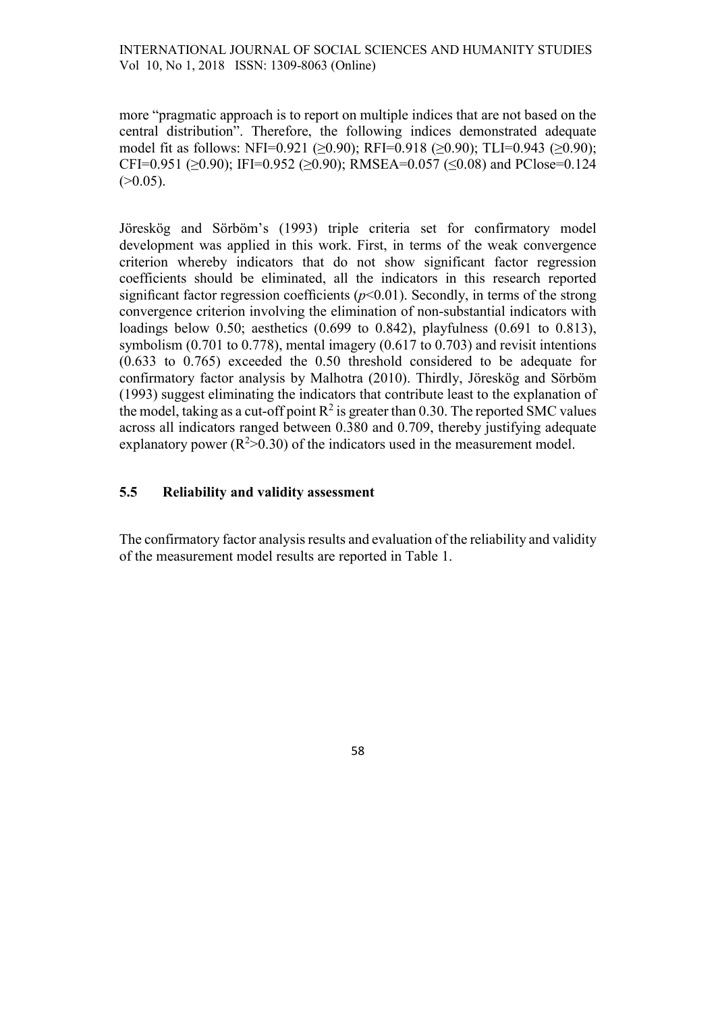more "pragmatic approach is to report on multiple indices that are not based on the central distribution". Therefore, the following indices demonstrated adequate model fit as follows: NFI=0.921 (≥0.90); RFI=0.918 (≥0.90); TLI=0.943 (≥0.90); CFI=0.951 ( $>0.90$ ); IFI=0.952 ( $>0.90$ ); RMSEA=0.057 ( $<0.08$ ) and PClose=0.124  $(>0.05)$ .

Jöreskög and Sörböm's (1993) triple criteria set for confirmatory model development was applied in this work. First, in terms of the weak convergence criterion whereby indicators that do not show significant factor regression coefficients should be eliminated, all the indicators in this research reported significant factor regression coefficients  $(p<0.01)$ . Secondly, in terms of the strong convergence criterion involving the elimination of non-substantial indicators with loadings below 0.50; aesthetics (0.699 to 0.842), playfulness (0.691 to 0.813), symbolism (0.701 to 0.778), mental imagery (0.617 to 0.703) and revisit intentions (0.633 to 0.765) exceeded the 0.50 threshold considered to be adequate for confirmatory factor analysis by Malhotra (2010). Thirdly, Jöreskög and Sörböm (1993) suggest eliminating the indicators that contribute least to the explanation of the model, taking as a cut-off point  $R^2$  is greater than 0.30. The reported SMC values across all indicators ranged between 0.380 and 0.709, thereby justifying adequate explanatory power ( $R^2 > 0.30$ ) of the indicators used in the measurement model.

#### 5.5 Reliability and validity assessment

The confirmatory factor analysis results and evaluation of the reliability and validity of the measurement model results are reported in Table 1.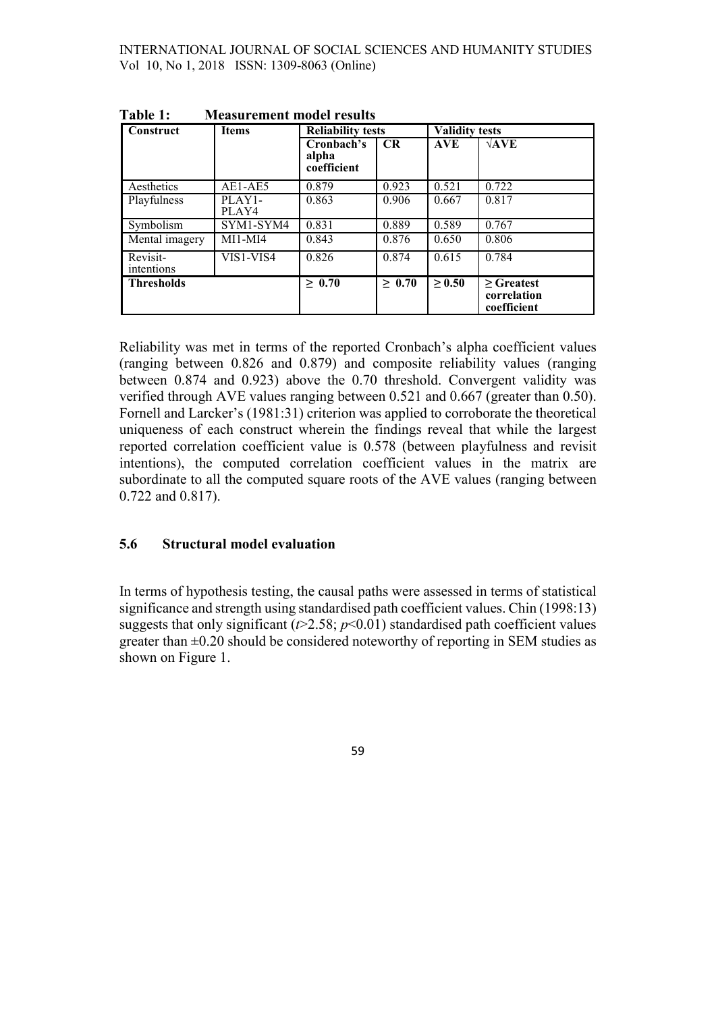| Construct              | <b>Items</b>    | <b>Reliability tests</b>           |             | <b>Validity tests</b> |                                               |
|------------------------|-----------------|------------------------------------|-------------|-----------------------|-----------------------------------------------|
|                        |                 | Cronbach's<br>alpha<br>coefficient | CR          | <b>AVE</b>            | $\sqrt{\text{AVE}}$                           |
| Aesthetics             | AE1-AE5         | 0.879                              | 0.923       | 0.521                 | 0.722                                         |
| Playfulness            | PLAY1-<br>PLAY4 | 0.863                              | 0.906       | 0.667                 | 0.817                                         |
| Symbolism              | SYM1-SYM4       | 0.831                              | 0.889       | 0.589                 | 0.767                                         |
| Mental imagery         | $MI1-MI4$       | 0.843                              | 0.876       | 0.650                 | 0.806                                         |
| Revisit-<br>intentions | VIS1-VIS4       | 0.826                              | 0.874       | 0.615                 | 0.784                                         |
| <b>Thresholds</b>      |                 | $\geq 0.70$                        | $\geq 0.70$ | $\geq 0.50$           | $\geq$ Greatest<br>correlation<br>coefficient |

Table 1: Measurement model results

Reliability was met in terms of the reported Cronbach's alpha coefficient values (ranging between 0.826 and 0.879) and composite reliability values (ranging between 0.874 and 0.923) above the 0.70 threshold. Convergent validity was verified through AVE values ranging between 0.521 and 0.667 (greater than 0.50). Fornell and Larcker's (1981:31) criterion was applied to corroborate the theoretical uniqueness of each construct wherein the findings reveal that while the largest reported correlation coefficient value is 0.578 (between playfulness and revisit intentions), the computed correlation coefficient values in the matrix are subordinate to all the computed square roots of the AVE values (ranging between 0.722 and 0.817).

### 5.6 Structural model evaluation

In terms of hypothesis testing, the causal paths were assessed in terms of statistical significance and strength using standardised path coefficient values. Chin (1998:13) suggests that only significant ( $t > 2.58$ ;  $p < 0.01$ ) standardised path coefficient values greater than  $\pm 0.20$  should be considered noteworthy of reporting in SEM studies as shown on Figure 1.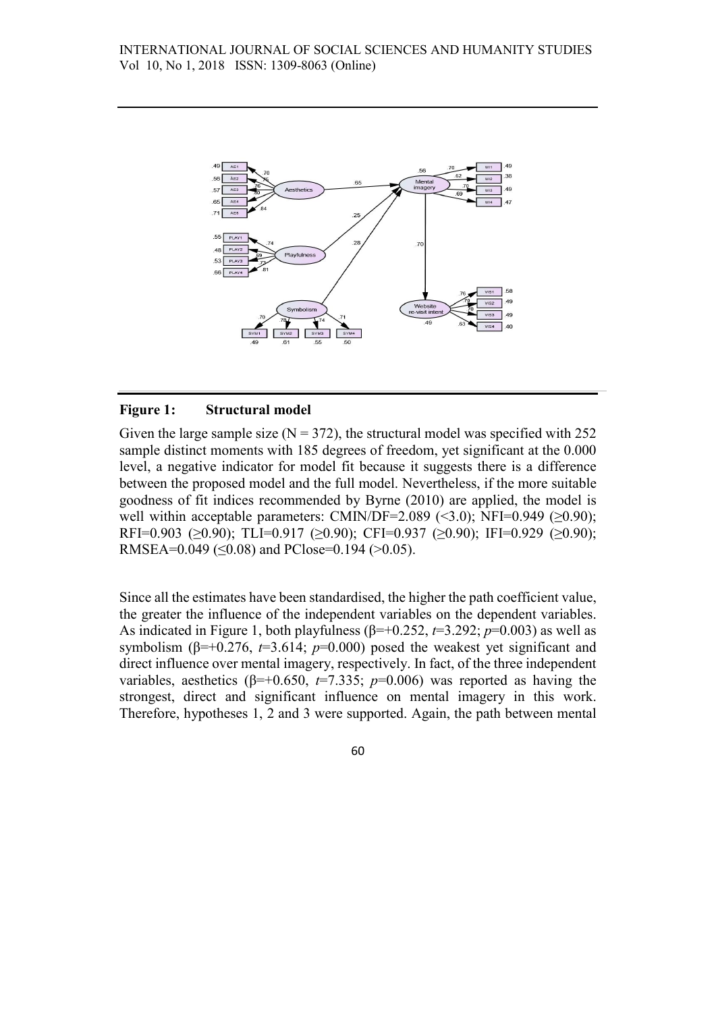

#### Figure 1: Structural model

Given the large sample size  $(N = 372)$ , the structural model was specified with 252 sample distinct moments with 185 degrees of freedom, yet significant at the 0.000 level, a negative indicator for model fit because it suggests there is a difference between the proposed model and the full model. Nevertheless, if the more suitable goodness of fit indices recommended by Byrne (2010) are applied, the model is well within acceptable parameters: CMIN/DF=2.089 (<3.0); NFI=0.949 ( $\geq$ 0.90); RFI=0.903 (≥0.90); TLI=0.917 (≥0.90); CFI=0.937 (≥0.90); IFI=0.929 (≥0.90); RMSEA= $0.049$  ( $\leq 0.08$ ) and PClose= $0.194$  ( $> 0.05$ ).

Since all the estimates have been standardised, the higher the path coefficient value, the greater the influence of the independent variables on the dependent variables. As indicated in Figure 1, both playfulness ( $\beta$ =+0.252,  $t$ =3.292;  $p$ =0.003) as well as symbolism ( $\beta$ =+0.276, t=3.614; p=0.000) posed the weakest yet significant and direct influence over mental imagery, respectively. In fact, of the three independent variables, aesthetics ( $\beta$ =+0.650, t=7.335; p=0.006) was reported as having the strongest, direct and significant influence on mental imagery in this work. Therefore, hypotheses 1, 2 and 3 were supported. Again, the path between mental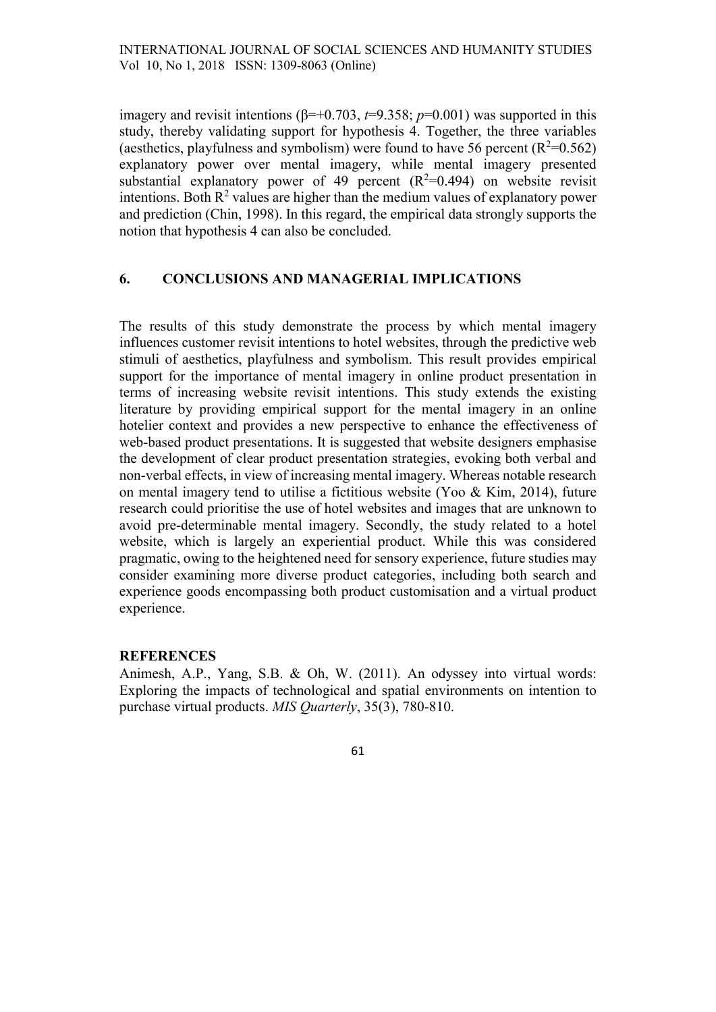imagery and revisit intentions ( $\beta$ =+0.703, t=9.358; p=0.001) was supported in this study, thereby validating support for hypothesis 4. Together, the three variables (aesthetics, playfulness and symbolism) were found to have 56 percent  $(R^2=0.562)$ explanatory power over mental imagery, while mental imagery presented substantial explanatory power of 49 percent  $(R^2=0.494)$  on website revisit intentions. Both  $R^2$  values are higher than the medium values of explanatory power and prediction (Chin, 1998). In this regard, the empirical data strongly supports the notion that hypothesis 4 can also be concluded.

#### 6. CONCLUSIONS AND MANAGERIAL IMPLICATIONS

The results of this study demonstrate the process by which mental imagery influences customer revisit intentions to hotel websites, through the predictive web stimuli of aesthetics, playfulness and symbolism. This result provides empirical support for the importance of mental imagery in online product presentation in terms of increasing website revisit intentions. This study extends the existing literature by providing empirical support for the mental imagery in an online hotelier context and provides a new perspective to enhance the effectiveness of web-based product presentations. It is suggested that website designers emphasise the development of clear product presentation strategies, evoking both verbal and non-verbal effects, in view of increasing mental imagery. Whereas notable research on mental imagery tend to utilise a fictitious website (Yoo & Kim, 2014), future research could prioritise the use of hotel websites and images that are unknown to avoid pre-determinable mental imagery. Secondly, the study related to a hotel website, which is largely an experiential product. While this was considered pragmatic, owing to the heightened need for sensory experience, future studies may consider examining more diverse product categories, including both search and experience goods encompassing both product customisation and a virtual product experience.

#### **REFERENCES**

Animesh, A.P., Yang, S.B. & Oh, W. (2011). An odyssey into virtual words: Exploring the impacts of technological and spatial environments on intention to purchase virtual products. MIS Quarterly, 35(3), 780-810.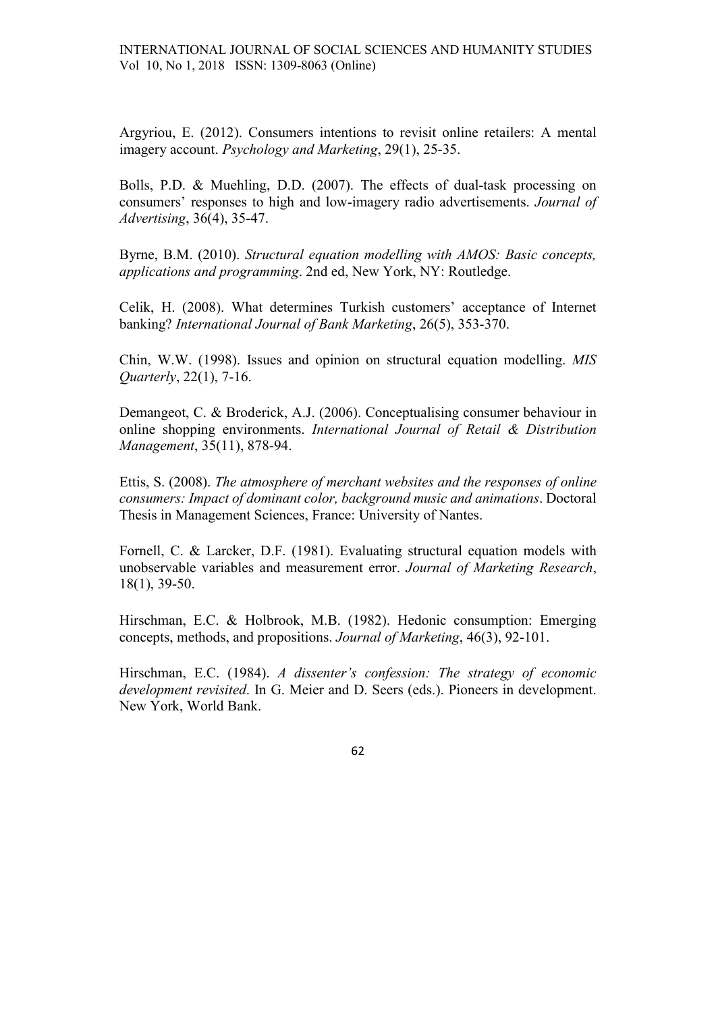Argyriou, E. (2012). Consumers intentions to revisit online retailers: A mental imagery account. Psychology and Marketing, 29(1), 25-35.

Bolls, P.D. & Muehling, D.D. (2007). The effects of dual-task processing on consumers' responses to high and low-imagery radio advertisements. Journal of Advertising, 36(4), 35-47.

Byrne, B.M. (2010). Structural equation modelling with AMOS: Basic concepts, applications and programming. 2nd ed, New York, NY: Routledge.

Celik, H. (2008). What determines Turkish customers' acceptance of Internet banking? International Journal of Bank Marketing, 26(5), 353-370.

Chin, W.W. (1998). Issues and opinion on structural equation modelling. MIS Quarterly, 22(1), 7-16.

Demangeot, C. & Broderick, A.J. (2006). Conceptualising consumer behaviour in online shopping environments. International Journal of Retail & Distribution Management, 35(11), 878-94.

Ettis, S. (2008). The atmosphere of merchant websites and the responses of online consumers: Impact of dominant color, background music and animations. Doctoral Thesis in Management Sciences, France: University of Nantes.

Fornell, C. & Larcker, D.F. (1981). Evaluating structural equation models with unobservable variables and measurement error. Journal of Marketing Research, 18(1), 39-50.

Hirschman, E.C. & Holbrook, M.B. (1982). Hedonic consumption: Emerging concepts, methods, and propositions. Journal of Marketing, 46(3), 92-101.

Hirschman, E.C. (1984). A dissenter's confession: The strategy of economic development revisited. In G. Meier and D. Seers (eds.). Pioneers in development. New York, World Bank.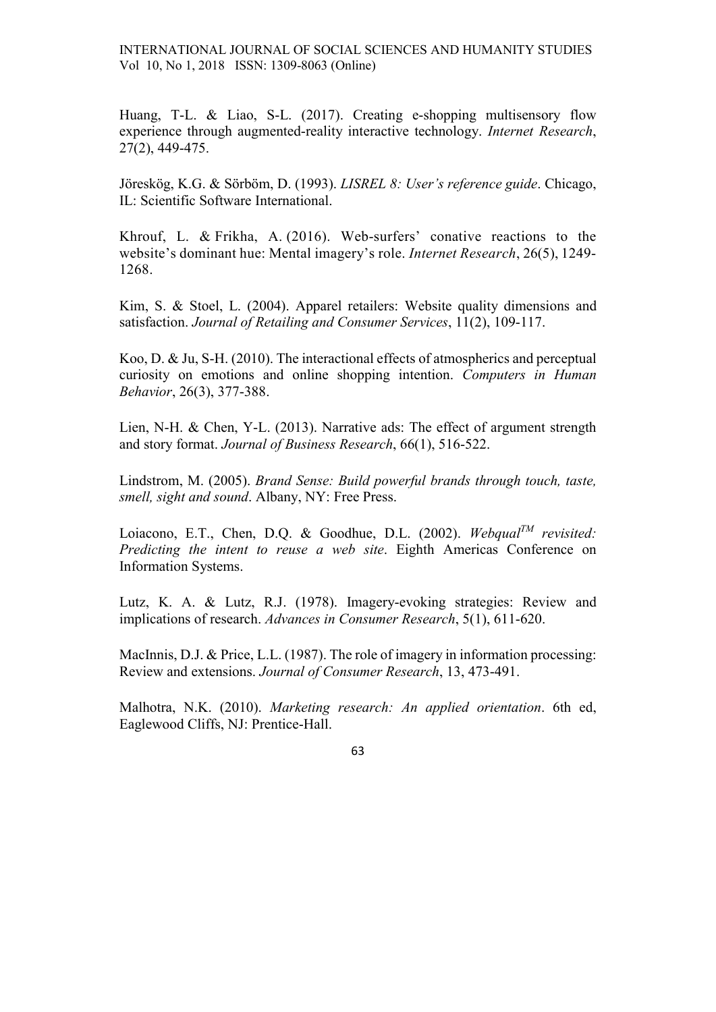Huang, T-L. & Liao, S-L. (2017). Creating e-shopping multisensory flow experience through augmented-reality interactive technology. Internet Research, 27(2), 449-475.

Jöreskög, K.G. & Sörböm, D. (1993). LISREL 8: User's reference guide. Chicago, IL: Scientific Software International.

Khrouf, L. & Frikha, A. (2016). Web-surfers' conative reactions to the website's dominant hue: Mental imagery's role. Internet Research, 26(5), 1249- 1268.

Kim, S. & Stoel, L. (2004). Apparel retailers: Website quality dimensions and satisfaction. Journal of Retailing and Consumer Services, 11(2), 109-117.

Koo, D. & Ju, S-H. (2010). The interactional effects of atmospherics and perceptual curiosity on emotions and online shopping intention. Computers in Human Behavior, 26(3), 377-388.

Lien, N-H. & Chen, Y-L. (2013). Narrative ads: The effect of argument strength and story format. Journal of Business Research, 66(1), 516-522.

Lindstrom, M. (2005). Brand Sense: Build powerful brands through touch, taste, smell, sight and sound. Albany, NY: Free Press.

Loiacono, E.T., Chen, D.Q. & Goodhue, D.L. (2002). Webqual<sup>TM</sup> revisited: Predicting the intent to reuse a web site. Eighth Americas Conference on Information Systems.

Lutz, K. A. & Lutz, R.J. (1978). Imagery-evoking strategies: Review and implications of research. Advances in Consumer Research, 5(1), 611-620.

MacInnis, D.J. & Price, L.L. (1987). The role of imagery in information processing: Review and extensions. Journal of Consumer Research, 13, 473-491.

Malhotra, N.K. (2010). Marketing research: An applied orientation. 6th ed, Eaglewood Cliffs, NJ: Prentice-Hall.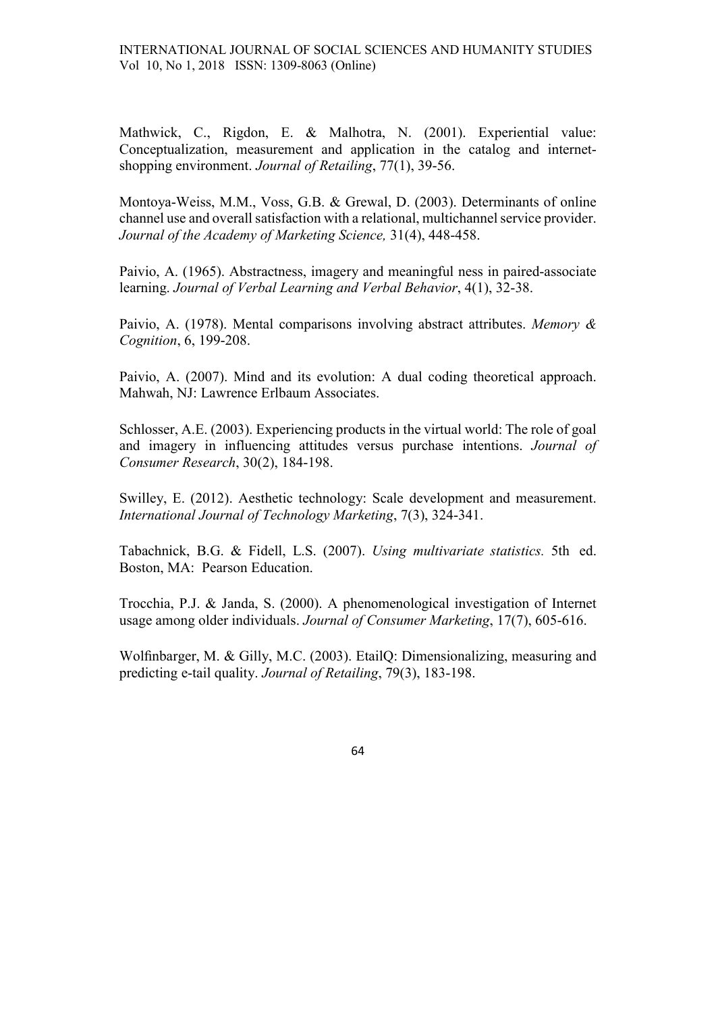Mathwick, C., Rigdon, E. & Malhotra, N. (2001). Experiential value: Conceptualization, measurement and application in the catalog and internetshopping environment. Journal of Retailing, 77(1), 39-56.

Montoya-Weiss, M.M., Voss, G.B. & Grewal, D. (2003). Determinants of online channel use and overall satisfaction with a relational, multichannel service provider. Journal of the Academy of Marketing Science, 31(4), 448-458.

Paivio, A. (1965). Abstractness, imagery and meaningful ness in paired-associate learning. Journal of Verbal Learning and Verbal Behavior, 4(1), 32-38.

Paivio, A. (1978). Mental comparisons involving abstract attributes. Memory & Cognition, 6, 199-208.

Paivio, A. (2007). Mind and its evolution: A dual coding theoretical approach. Mahwah, NJ: Lawrence Erlbaum Associates.

Schlosser, A.E. (2003). Experiencing products in the virtual world: The role of goal and imagery in influencing attitudes versus purchase intentions. Journal of Consumer Research, 30(2), 184-198.

Swilley, E. (2012). Aesthetic technology: Scale development and measurement. International Journal of Technology Marketing, 7(3), 324-341.

Tabachnick, B.G. & Fidell, L.S. (2007). Using multivariate statistics. 5th ed. Boston, MA: Pearson Education.

Trocchia, P.J. & Janda, S. (2000). A phenomenological investigation of Internet usage among older individuals. Journal of Consumer Marketing, 17(7), 605-616.

Wolfinbarger, M. & Gilly, M.C. (2003). EtailQ: Dimensionalizing, measuring and predicting e-tail quality. Journal of Retailing, 79(3), 183-198.